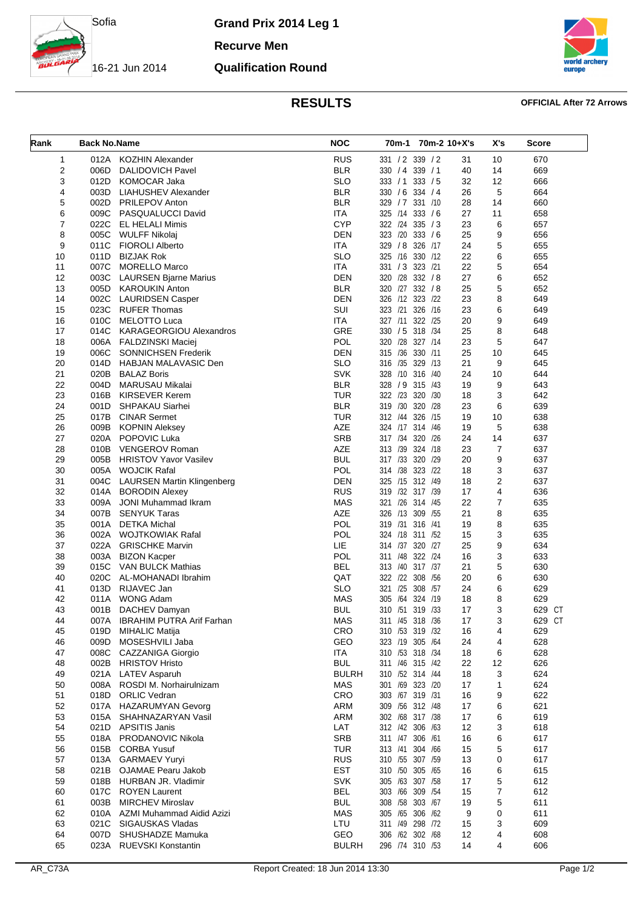

**Grand Prix 2014 Leg 1**

**Recurve Men**

## **Qualification Round**



# **RESULTS OFFICIAL After 72 Arrows**

| Rank                    | <b>Back No.Name</b> |                                         | <b>NOC</b>               | 70m-1 70m-2 10+X's                  |          | X's            | <b>Score</b> |
|-------------------------|---------------------|-----------------------------------------|--------------------------|-------------------------------------|----------|----------------|--------------|
| 1                       |                     | 012A KOZHIN Alexander                   | <b>RUS</b>               | 331 / 2 339 / 2                     | 31       | 10             | 670          |
| $\overline{\mathbf{c}}$ | 006D                | <b>DALIDOVICH Pavel</b>                 | <b>BLR</b>               | 330 / 4 339 / 1                     | 40       | 14             | 669          |
| 3                       | 012D                | KOMOCAR Jaka                            | <b>SLO</b>               | 333 / 1<br>333 / 5                  | 32       | 12             | 666          |
| 4                       | 003D                | LIAHUSHEV Alexander                     | <b>BLR</b>               | 330 / 6 334 / 4                     | 26       | 5              | 664          |
| 5                       | 002D                | <b>PRILEPOV Anton</b>                   | <b>BLR</b>               | 329 / 7 331 / 10                    | 28       | 14             | 660          |
| 6                       |                     | 009C PASQUALUCCI David                  | <b>ITA</b>               | 325 /14 333 / 6                     | 27       | 11             | 658          |
| $\overline{7}$          |                     | 022C EL HELALI Mimis                    | <b>CYP</b>               | 322 /24 335 / 3                     | 23       | 6              | 657          |
| 8                       |                     | 005C WULFF Nikolaj                      | <b>DEN</b>               | 323 /20 333 /6                      | 25       | 9              | 656          |
| 9                       | 011C                | <b>FIOROLI Alberto</b>                  | <b>ITA</b>               | 329 / 8 326 /17                     | 24       | 5              | 655          |
| 10                      |                     | 011D BIZJAK Rok                         | <b>SLO</b>               | 325 /16 330 /12                     | 22       | 6              | 655          |
| 11                      | 007C                | <b>MORELLO Marco</b>                    | <b>ITA</b>               | 331 / 3 323 / 21                    | 22       | 5              | 654          |
| 12                      | 003C                | <b>LAURSEN Bjarne Marius</b>            | <b>DEN</b>               | 320 /28 332 / 8                     | 27       | 6              | 652          |
| 13                      |                     | 005D KAROUKIN Anton                     | <b>BLR</b>               | 320 /27 332 / 8                     | 25       | 5              | 652          |
| 14                      | 002C                | <b>LAURIDSEN Casper</b>                 | <b>DEN</b>               | 326 /12 323 /22                     | 23       | 8              | 649          |
| 15                      | 023C                | RUFER Thomas                            | SUI                      | 323 /21 326 /16                     | 23       | 6              | 649          |
| 16                      | 010C                | MELOTTO Luca                            | <b>ITA</b>               | 327 /11 322 /25                     | 20       | 9              | 649          |
| 17                      | 014C                | KARAGEORGIOU Alexandros                 | GRE                      | 330 / 5 318 / 34                    | 25       | 8              | 648          |
| 18                      |                     | 006A FALDZINSKI Maciej                  | POL                      | 320 /28 327 /14                     | 23       | 5              | 647          |
| 19                      | 006C                | <b>SONNICHSEN Frederik</b>              | <b>DEN</b>               | 315 /36 330 /11                     | 25       | 10             | 645          |
| 20                      | 014D                | HABJAN MALAVASIC Den                    | <b>SLO</b><br><b>SVK</b> | 316 /35 329 /13                     | 21       | 9              | 645          |
| 21<br>22                |                     | 020B BALAZ Boris                        | <b>BLR</b>               | 328 /10 316 /40<br>328 / 9 315 / 43 | 24       | 10             | 644          |
| 23                      | 004D<br>016B        | MARUSAU Mikalai<br>KIRSEVER Kerem       | <b>TUR</b>               | 322 /23 320 /30                     | 19<br>18 | 9<br>3         | 643<br>642   |
| 24                      | 001D                | SHPAKAU Siarhei                         | <b>BLR</b>               | 319 /30 320 /28                     | 23       | 6              | 639          |
| 25                      | 017B                | <b>CINAR Sermet</b>                     | TUR                      | 312 /44 326 /15                     | 19       | 10             | 638          |
| 26                      |                     | 009B KOPNIN Aleksey                     | AZE                      | 324 /17 314 /46                     | 19       | 5              | 638          |
| 27                      | 020A                | <b>POPOVIC Luka</b>                     | <b>SRB</b>               | 317 /34 320 /26                     | 24       | 14             | 637          |
| 28                      | 010B                | VENGEROV Roman                          | <b>AZE</b>               | 313 /39 324 /18                     | 23       | $\overline{7}$ | 637          |
| 29                      |                     | 005B HRISTOV Yavor Vasilev              | <b>BUL</b>               | 317 /33 320 /29                     | 20       | 9              | 637          |
| 30                      |                     | 005A WOJCIK Rafal                       | POL                      | 314 /38 323 /22                     | 18       | 3              | 637          |
| 31                      | 004C                | <b>LAURSEN Martin Klingenberg</b>       | <b>DEN</b>               | 325 /15 312 /49                     | 18       | $\overline{2}$ | 637          |
| 32                      |                     | 014A BORODIN Alexey                     | <b>RUS</b>               | 319 /32 317 /39                     | 17       | 4              | 636          |
| 33                      | 009A                | JONI Muhammad Ikram                     | <b>MAS</b>               | 321 /26 314 /45                     | 22       | $\overline{7}$ | 635          |
| 34                      |                     | 007B SENYUK Taras                       | AZE                      | 326 /13 309 /55                     | 21       | 8              | 635          |
| 35                      |                     | 001A DETKA Michal                       | POL                      | 319 /31 316 /41                     | 19       | 8              | 635          |
| 36                      |                     | 002A WOJTKOWIAK Rafal                   | POL                      | 324 /18 311 /52                     | 15       | 3              | 635          |
| 37                      |                     | 022A GRISCHKE Marvin                    | LIE                      | 314 /37 320 /27                     | 25       | 9              | 634          |
| 38                      |                     | 003A BIZON Kacper                       | POL                      | 322 /24<br>311 /48                  | 16       | 3              | 633          |
| 39                      | 015C                | VAN BULCK Mathias                       | <b>BEL</b>               | 313 /40 317 /37                     | 21       | 5              | 630          |
| 40                      | 020C                | AL-MOHANADI Ibrahim                     | QAT                      | 322 /22 308 /56                     | 20       | 6              | 630          |
| 41                      | 013D                | RIJAVEC Jan                             | <b>SLO</b>               | 321 /25 308 /57                     | 24       | 6              | 629          |
| 42                      | 011A                | <b>WONG Adam</b>                        | <b>MAS</b>               | 305 /64 324 /19                     | 18       | 8              | 629          |
| 43                      |                     | 001B DACHEV Damyan                      | <b>BUL</b>               | 310 /51 319 /33                     | 17       | 3              | 629 CT       |
| 44                      |                     | 007A IBRAHIM PUTRA Arif Farhan          | <b>MAS</b>               | 311 /45 318 /36                     | 17       | 3              | 629 CT       |
| 45                      | 019D                | <b>MIHALIC Matija</b>                   | CRO                      | 310 /53 319 /32                     | 16       | 4              | 629          |
| 46                      | 009D                | MOSESHVILI Jaba                         | GEO                      | 323 /19 305 /64                     | 24       | 4              | 628          |
| 47                      | 008C                | CAZZANIGA Giorgio                       | <b>ITA</b>               | 310 /53 318 /34                     | 18       | 6              | 628          |
| 48                      | 002B                | <b>HRISTOV Hristo</b>                   | <b>BUL</b>               | 311 /46 315 /42                     | 22       | 12             | 626          |
| 49                      |                     | 021A LATEV Asparuh                      | <b>BULRH</b>             | 310 /52 314 /44                     | 18       | 3              | 624          |
| 50                      | 008A                | ROSDI M. Norhairulnizam                 | <b>MAS</b>               | 301 /69 323 /20                     | 17       | $\mathbf{1}$   | 624          |
| 51                      |                     | 018D ORLIC Vedran                       | <b>CRO</b>               | 303 /67 319 /31                     | 16       | 9              | 622          |
| 52                      |                     | 017A HAZARUMYAN Gevorg                  | <b>ARM</b>               | 309 / 56 312 / 48                   | 17       | 6              | 621          |
| 53                      | 015A                | SHAHNAZARYAN Vasil                      | ARM                      | 302 /68 317 /38                     | 17       | 6              | 619          |
| 54<br>55                | 021D                | APSITIS Janis<br>018A PRODANOVIC Nikola | LAT<br><b>SRB</b>        | 312 /42 306 /63<br>311 /47 306 /61  | 12       | 3<br>6         | 618<br>617   |
|                         | 015B                | <b>CORBA Yusuf</b>                      |                          |                                     | 16       |                |              |
| 56<br>57                | 013A                | <b>GARMAEV Yuryi</b>                    | <b>TUR</b><br><b>RUS</b> | 313 /41 304 /66<br>310 /55 307 /59  | 15<br>13 | 5<br>0         | 617<br>617   |
| 58                      |                     | 021B OJAMAE Pearu Jakob                 | <b>EST</b>               | 310 /50 305 /65                     | 16       | 6              | 615          |
| 59                      |                     | 018B HURBAN JR. Vladimir                | <b>SVK</b>               | 305 /63 307 /58                     | 17       | 5              | 612          |
| 60                      | 017C                | <b>ROYEN Laurent</b>                    | <b>BEL</b>               | 303 /66 309 /54                     | 15       | 7              | 612          |
| 61                      | 003B                | <b>MIRCHEV Miroslav</b>                 | <b>BUL</b>               | 308 /58 303 /67                     | 19       | 5              | 611          |
| 62                      |                     | 010A AZMI Muhammad Aidid Azizi          | <b>MAS</b>               | 305 /65 306 /62                     | 9        | 0              | 611          |
| 63                      | 021C                | SIGAUSKAS Vladas                        | LTU                      | 311 /49 298 /72                     | 15       | 3              | 609          |
| 64                      | 007D                | SHUSHADZE Mamuka                        | GEO                      | 306 /62 302 /68                     | 12       | 4              | 608          |
| 65                      |                     | 023A RUEVSKI Konstantin                 | <b>BULRH</b>             | 296 /74 310 /53                     | 14       | 4              | 606          |
|                         |                     |                                         |                          |                                     |          |                |              |